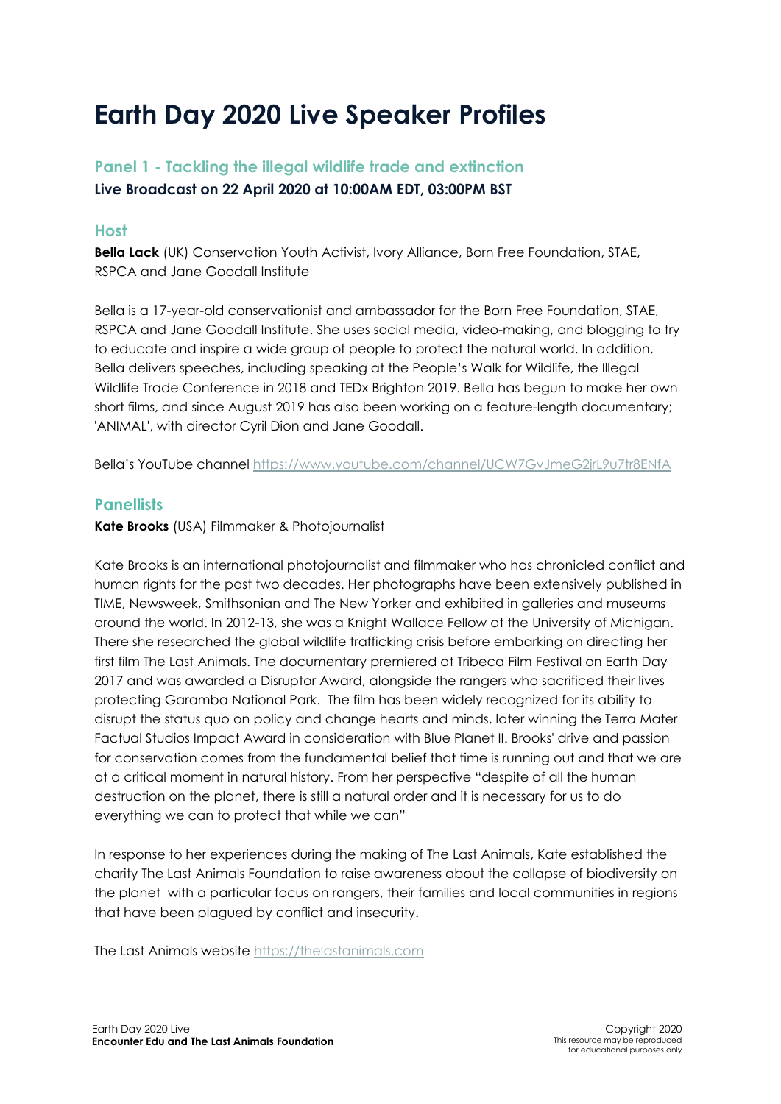# **Earth Day 2020 Live Speaker Profiles**

# **Panel 1 - Tackling the illegal wildlife trade and extinction Live Broadcast on 22 April 2020 at 10:00AM EDT, 03:00PM BST**

# **Host**

**Bella Lack** (UK) Conservation Youth Activist, Ivory Alliance, Born Free Foundation, STAE, RSPCA and Jane Goodall Institute

Bella is a 17-year-old conservationist and ambassador for the Born Free Foundation, STAE, RSPCA and Jane Goodall Institute. She uses social media, video-making, and blogging to try to educate and inspire a wide group of people to protect the natural world. In addition, Bella delivers speeches, including speaking at the People's Walk for Wildlife, the Illegal Wildlife Trade Conference in 2018 and TEDx Brighton 2019. Bella has begun to make her own short films, and since August 2019 has also been working on a feature-length documentary; 'ANIMAL', with director Cyril Dion and Jane Goodall.

Bella's YouTube channel<https://www.youtube.com/channel/UCW7GvJmeG2jrL9u7tr8ENfA>

## **Panellists**

#### **Kate Brooks** (USA) Filmmaker & Photojournalist

Kate Brooks is an international photojournalist and filmmaker who has chronicled conflict and human rights for the past two decades. Her photographs have been extensively published in TIME, Newsweek, Smithsonian and The New Yorker and exhibited in galleries and museums around the world. In 2012-13, she was a Knight Wallace Fellow at the University of Michigan. There she researched the global wildlife trafficking crisis before embarking on directing her first film The Last Animals. The documentary premiered at Tribeca Film Festival on Earth Day 2017 and was awarded a Disruptor Award, alongside the rangers who sacrificed their lives protecting Garamba National Park. The film has been widely recognized for its ability to disrupt the status quo on policy and change hearts and minds, later winning the Terra Mater Factual Studios Impact Award in consideration with Blue Planet II. Brooks' drive and passion for conservation comes from the fundamental belief that time is running out and that we are at a critical moment in natural history. From her perspective "despite of all the human destruction on the planet, there is still a natural order and it is necessary for us to do everything we can to protect that while we can"

In response to her experiences during the making of The Last Animals, Kate established the charity The Last Animals Foundation to raise awareness about the collapse of biodiversity on the planet with a particular focus on rangers, their families and local communities in regions that have been plagued by conflict and insecurity.

The Last Animals website [https://thelastanimals.com](https://thelastanimals.com/)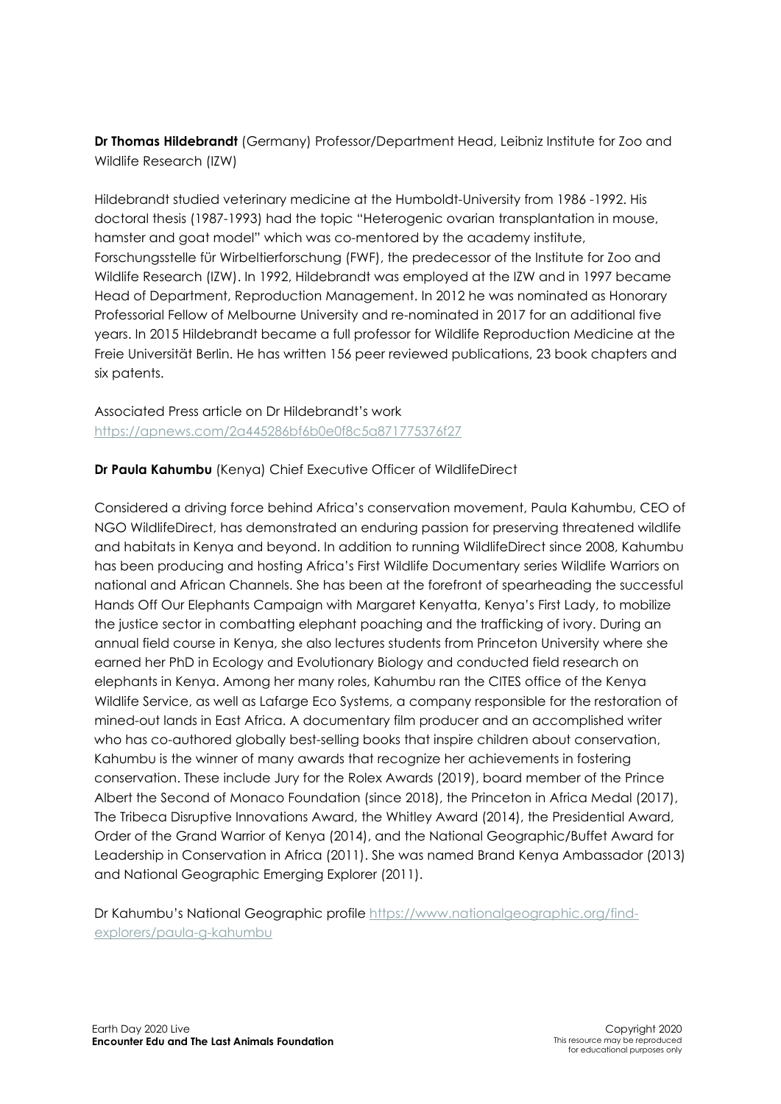**Dr Thomas Hildebrandt** (Germany) Professor/Department Head, Leibniz Institute for Zoo and Wildlife Research (IZW)

Hildebrandt studied veterinary medicine at the Humboldt-University from 1986 -1992. His doctoral thesis (1987-1993) had the topic "Heterogenic ovarian transplantation in mouse, hamster and goat model" which was co-mentored by the academy institute, Forschungsstelle für Wirbeltierforschung (FWF), the predecessor of the Institute for Zoo and Wildlife Research (IZW). In 1992, Hildebrandt was employed at the IZW and in 1997 became Head of Department, Reproduction Management. In 2012 he was nominated as Honorary Professorial Fellow of Melbourne University and re-nominated in 2017 for an additional five years. In 2015 Hildebrandt became a full professor for Wildlife Reproduction Medicine at the Freie Universität Berlin. He has written 156 peer reviewed publications, 23 book chapters and six patents.

### Associated Press article on Dr Hildebrandt's work https://apnews.com/2a445286bf6b0e0f8c5a871775376f27

### **Dr Paula Kahumbu** (Kenya) Chief Executive Officer of WildlifeDirect

Considered a driving force behind Africa's conservation movement, Paula Kahumbu, CEO of NGO WildlifeDirect, has demonstrated an enduring passion for preserving threatened wildlife and habitats in Kenya and beyond. In addition to running WildlifeDirect since 2008, Kahumbu has been producing and hosting Africa's First Wildlife Documentary series Wildlife Warriors on national and African Channels. She has been at the forefront of spearheading the successful Hands Off Our Elephants Campaign with Margaret Kenyatta, Kenya's First Lady, to mobilize the justice sector in combatting elephant poaching and the trafficking of ivory. During an annual field course in Kenya, she also lectures students from Princeton University where she earned her PhD in Ecology and Evolutionary Biology and conducted field research on elephants in Kenya. Among her many roles, Kahumbu ran the CITES office of the Kenya Wildlife Service, as well as Lafarge Eco Systems, a company responsible for the restoration of mined-out lands in East Africa. A documentary film producer and an accomplished writer who has co-authored globally best-selling books that inspire children about conservation, Kahumbu is the winner of many awards that recognize her achievements in fostering conservation. These include Jury for the Rolex Awards (2019), board member of the Prince Albert the Second of Monaco Foundation (since 2018), the Princeton in Africa Medal (2017), The Tribeca Disruptive Innovations Award, the Whitley Award (2014), the Presidential Award, Order of the Grand Warrior of Kenya (2014), and the National Geographic/Buffet Award for Leadership in Conservation in Africa (2011). She was named Brand Kenya Ambassador (2013) and National Geographic Emerging Explorer (2011).

Dr Kahumbu's National Geographic profile [https://www.nationalgeographic.org/find](https://www.nationalgeographic.org/find-explorers/paula-g-kahumbu)[explorers/paula-g-kahumbu](https://www.nationalgeographic.org/find-explorers/paula-g-kahumbu)